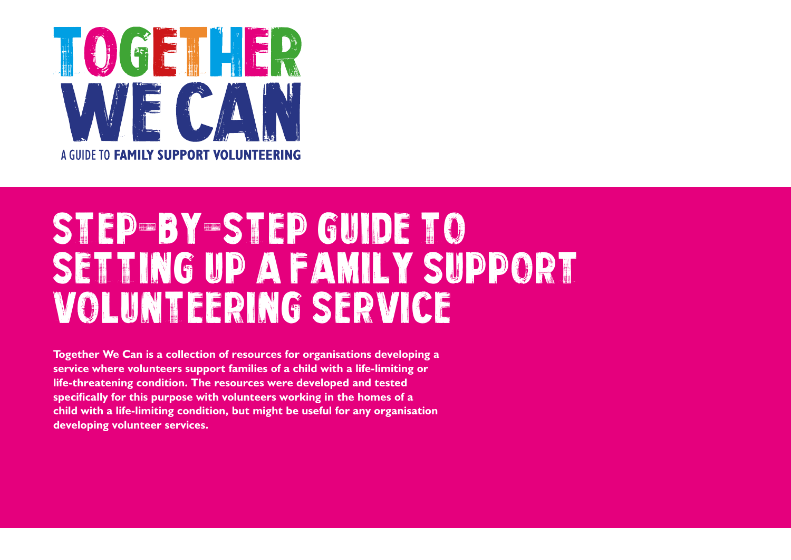

# STEP-BY-STEP GUIDE TO setting up a family support volunteering Service

**Together We Can is a collection of resources for organisations developing a service where volunteers support families of a child with a life-limiting or life-threatening condition. The resources were developed and tested specifically for this purpose with volunteers working in the homes of a child with a life-limiting condition, but might be useful for any organisation developing volunteer services.**